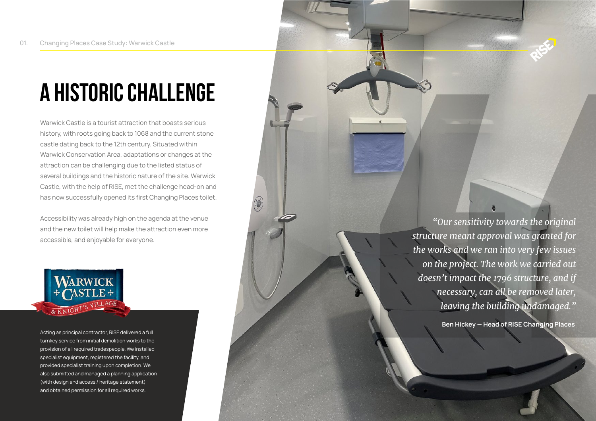## **A Historic Challenge**

Warwick Castle is a tourist attraction that boasts serious history, with roots going back to 1068 and the current stone castle dating back to the 12th century. Situated within Warwick Conservation Area, adaptations or changes at the attraction can be challenging due to the listed status of several buildings and the historic nature of the site. Warwick Castle, with the help of RISE, met the challenge head-on and has now successfully opened its first Changing Places toilet.

Accessibility was already high on the agenda at the venue and the new toilet will help make the attraction even more accessible, and enjoyable for everyone.



and obtained permission for all required works. Acting as principal contractor, RISE delivered a full turnkey service from initial demolition works to the provision of all required tradespeople. We installed specialist equipment, registered the facility, and provided specialist training upon completion. We also submitted and managed a planning application (with design and access / heritage statement)

*"Our sensitivity towards the original structure meant approval was granted for the works and we ran into very few issues on the project. The work we carried out doesn't impact the 1796 structure, and if necessary, can all be removed later, leaving the building undamaged."*

**Ben Hickey — Head of RISE Changing Places**